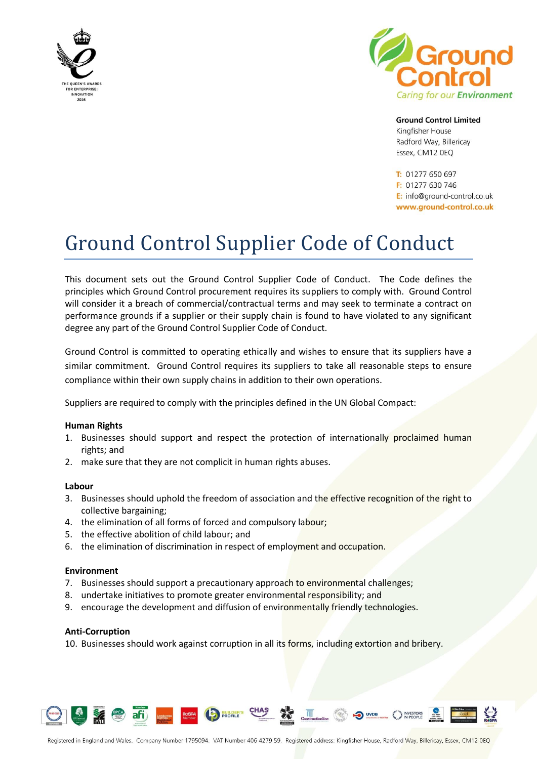



**Ground Control Limited** 

Kingfisher House Radford Way, Billericay Essex, CM12 OEQ

T: 01277 650 697  $F: 01277630746$ E: info@ground-control.co.uk www.ground-control.co.uk

# Ground Control Supplier Code of Conduct

This document sets out the Ground Control Supplier Code of Conduct. The Code defines the principles which Ground Control procurement requires its suppliers to comply with. Ground Control will consider it a breach of commercial/contractual terms and may seek to terminate a contract on performance grounds if a supplier or their supply chain is found to have violated to any significant degree any part of the Ground Control Supplier Code of Conduct.

Ground Control is committed to operating ethically and wishes to ensure that its suppliers have a similar commitment. Ground Control requires its suppliers to take all reasonable steps to ensure compliance within their own supply chains in addition to their own operations.

Suppliers are required to comply with the principles defined in the UN Global Compact:

### **Human Rights**

- 1. Businesses should support and respect the protection of internationally proclaimed human rights; and
- 2. make sure that they are not complicit in human rights abuses.

### **Labour**

- 3. Businesses should uphold the freedom of association and the effective recognition of the right to collective bargaining;
- 4. the elimination of all forms of forced and compulsory labour;
- 5. the effective abolition of child labour; and

afi)

6. the elimination of discrimination in respect of employment and occupation.

### **Environment**

- 7. Businesses should support a precautionary approach to environmental challenges;
- 8. undertake initiatives to promote greater environmental responsibility; and

ROSPA PROFILE CHAS

9. encourage the development and diffusion of environmentally friendly technologies.

### **Anti-Corruption**

10. Businesses should work against corruption in all its forms, including extortion and bribery.

Constructionline

UVDB INVESTORS